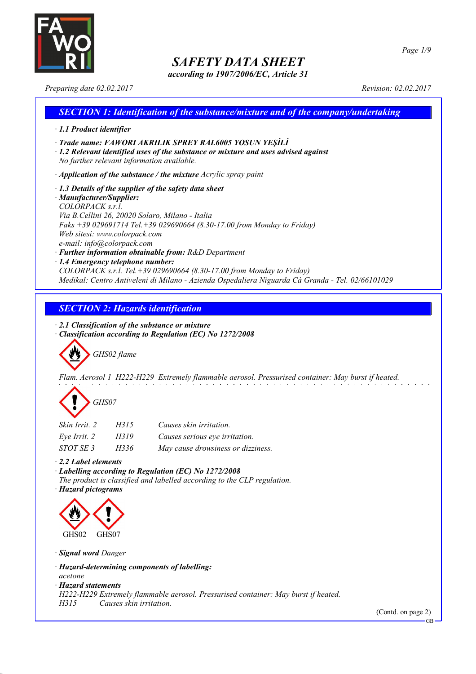

*according to 1907/2006/EC, Article 31*

*Page 1/9*

*Preparing date 02.02.2017 Revision: 02.02.2017*

## *SECTION 1: Identification of the substance/mixture and of the company/undertaking · 1.1 Product identifier · Trade name: FAWORI AKRILIK SPREY RAL6005 YOSUN YEŞİLİ · 1.2 Relevant identified uses of the substance or mixture and uses advised against No further relevant information available. · Application of the substance / the mixture Acrylic spray paint · 1.3 Details of the supplier of the safety data sheet · Manufacturer/Supplier: COLORPACK s.r.l. Via B.Cellini 26, 20020 Solaro, Milano - Italia Faks +39 029691714 Tel.+39 029690664 (8.30-17.00 from Monday to Friday) Web sitesi: www.colorpack.com e-mail: info@colorpack.com · Further information obtainable from: R&D Department · 1.4 Emergency telephone number: COLORPACK s.r.l. Tel.+39 029690664 (8.30-17.00 from Monday to Friday) Medikal: Centro Antiveleni di Milano - Azienda Ospedaliera Niguarda Cà Granda - Tel. 02/66101029*

## *SECTION 2: Hazards identification*

*· 2.1 Classification of the substance or mixture*

*· Classification according to Regulation (EC) No 1272/2008*

*GHS02 flame*

*Flam. Aerosol 1 H222-H229 Extremely flammable aerosol. Pressurised container: May burst if heated.*

| GHS07 |
|-------|
|-------|

| Skin Irrit. 2 | H315 | Causes skin irritation.            |
|---------------|------|------------------------------------|
| Eve Irrit. 2  | H319 | Causes serious eye irritation.     |
| STOT SE 3     | H336 | May cause drowsiness or dizziness. |

*· 2.2 Label elements*

*· Labelling according to Regulation (EC) No 1272/2008*

*The product is classified and labelled according to the CLP regulation.*

*· Hazard pictograms*



*· Signal word Danger*

*· Hazard-determining components of labelling:*

*acetone*

*· Hazard statements*

*H222-H229 Extremely flammable aerosol. Pressurised container: May burst if heated.*

*H315 Causes skin irritation.*

(Contd. on page 2)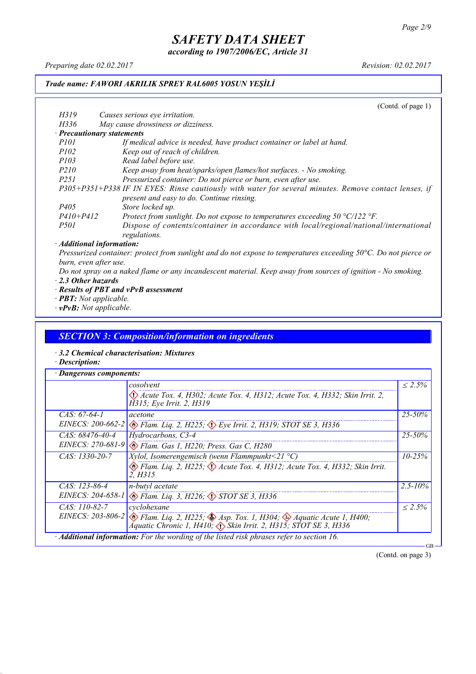*according to 1907/2006/EC, Article 31*

*Preparing date 02.02.2017 Revision: 02.02.2017*

### *Trade name: FAWORI AKRILIK SPREY RAL6005 YOSUN YEŞİLİ*

(Contd. of page 1) *H319 Causes serious eye irritation. H336 May cause drowsiness or dizziness. · Precautionary statements P101 If medical advice is needed, have product container or label at hand. P102 Keep out of reach of children. P103 Read label before use. P210 Keep away from heat/sparks/open flames/hot surfaces. - No smoking. P251 Pressurized container: Do not pierce or burn, even after use. P305+P351+P338 IF IN EYES: Rinse cautiously with water for several minutes. Remove contact lenses, if present and easy to do. Continue rinsing. P405 Store locked up. P410+P412 Protect from sunlight. Do not expose to temperatures exceeding 50 °C/122 °F. P501 Dispose of contents/container in accordance with local/regional/national/international regulations. · Additional information:*

Pressurized container: protect from sunlight and do not expose to temperatures exceeding 50°C. Do not pierce or *burn, even after use.*

- Do not spray on a naked flame or any incandescent material. Keep away from sources of ignition No smoking. *· 2.3 Other hazards*
- *· Results of PBT and vPvB assessment*
- *· PBT: Not applicable.*
- *· vPvB: Not applicable.*

### *SECTION 3: Composition/information on ingredients*

- *· 3.2 Chemical characterisation: Mixtures*
- *· Description:*

|                     | cosolvent                                                                                                                                                                                        |              |
|---------------------|--------------------------------------------------------------------------------------------------------------------------------------------------------------------------------------------------|--------------|
|                     | $\langle \rangle$ Acute Tox. 4, H302; Acute Tox. 4, H312; Acute Tox. 4, H332; Skin Irrit. 2,<br>H315; Eye Irrit. 2, H319                                                                         |              |
| $CAS: 67-64-1$      | acetone                                                                                                                                                                                          | $25 - 50\%$  |
| EINECS: $200-662-2$ | $\otimes$ Flam. Liq. 2, H225; $\otimes$ Eye Irrit. 2, H319; STOT SE 3, H336                                                                                                                      |              |
| $CAS: 68476-40-4$   | Hydrocarbons, C3-4                                                                                                                                                                               | $25 - 50\%$  |
|                     | EINECS: 270-681-9 & Flam. Gas 1, H220; Press. Gas C, H280                                                                                                                                        |              |
| $CAS: 1330-20-7$    | <i>Xylol, Isomerengemisch (wenn Flammpunkt</i> <21 $^{\circ}$ C)                                                                                                                                 | $10 - 25\%$  |
|                     | Elam. Liq. 2, H225; $\Diamond$ Acute Tox. 4, H312; Acute Tox. 4, H332; Skin Irrit.<br>2. H315                                                                                                    |              |
| $CAS: 123-86-4$     | n-butyl acetate                                                                                                                                                                                  | $2.5 - 10\%$ |
|                     | EINECS: 204-658-1 & Flam. Liq. 3, H226; STOT SE 3, H336                                                                                                                                          |              |
| $CAS: 110-82-7$     | cyclohexane                                                                                                                                                                                      | $\leq 2.5\%$ |
|                     | EINECS: 203-806-2 $\otimes$ Flam. Liq. 2, H225; $\otimes$ Asp. Tox. 1, H304; $\otimes$ Aquatic Acute 1, H400;<br>Áquatic Chronic 1, H410, $\langle \rangle$ Skin Irrit. 2, H315; STOT SE 3, H336 |              |

(Contd. on page 3)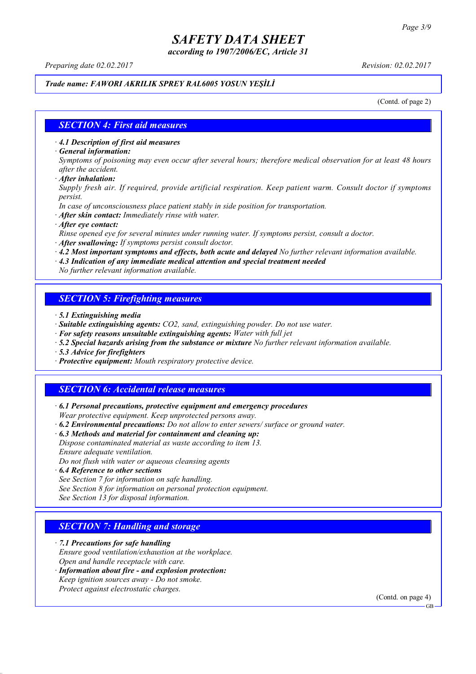*according to 1907/2006/EC, Article 31*

*Preparing date 02.02.2017 Revision: 02.02.2017*

### *Trade name: FAWORI AKRILIK SPREY RAL6005 YOSUN YEŞİLİ*

(Contd. of page 2)

### *SECTION 4: First aid measures*

*· 4.1 Description of first aid measures*

*· General information:*

Symptoms of poisoning may even occur after several hours; therefore medical observation for at least 48 hours *after the accident.*

*· After inhalation:*

*Supply fresh air. If required, provide artificial respiration. Keep patient warm. Consult doctor if symptoms persist.*

*In case of unconsciousness place patient stably in side position for transportation.*

- *· After skin contact: Immediately rinse with water.*
- *· After eye contact:*

*Rinse opened eye for several minutes under running water. If symptoms persist, consult a doctor.*

*· After swallowing: If symptoms persist consult doctor.*

*· 4.2 Most important symptoms and effects, both acute and delayed No further relevant information available.*

*· 4.3 Indication of any immediate medical attention and special treatment needed*

*No further relevant information available.*

### *SECTION 5: Firefighting measures*

- *· 5.1 Extinguishing media*
- *· Suitable extinguishing agents: CO2, sand, extinguishing powder. Do not use water.*
- *· For safety reasons unsuitable extinguishing agents: Water with full jet*
- *· 5.2 Special hazards arising from the substance or mixture No further relevant information available.*
- *· 5.3 Advice for firefighters*
- *· Protective equipment: Mouth respiratory protective device.*

### *SECTION 6: Accidental release measures*

*· 6.1 Personal precautions, protective equipment and emergency procedures Wear protective equipment. Keep unprotected persons away.*

*· 6.2 Environmental precautions: Do not allow to enter sewers/ surface or ground water.*

*· 6.3 Methods and material for containment and cleaning up:*

*Dispose contaminated material as waste according to item 13. Ensure adequate ventilation.*

*Do not flush with water or aqueous cleansing agents*

- *· 6.4 Reference to other sections*
- *See Section 7 for information on safe handling.*

*See Section 8 for information on personal protection equipment.*

*See Section 13 for disposal information.*

### *SECTION 7: Handling and storage*

*· 7.1 Precautions for safe handling*

*Ensure good ventilation/exhaustion at the workplace.*

*Open and handle receptacle with care.*

*· Information about fire - and explosion protection: Keep ignition sources away - Do not smoke.*

*Protect against electrostatic charges.*

(Contd. on page 4)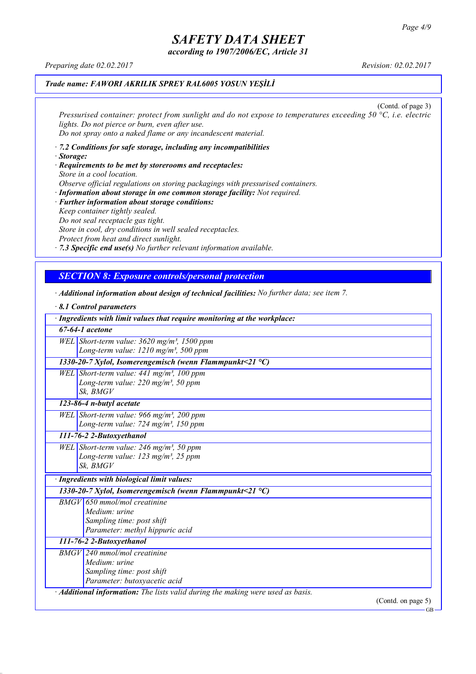*according to 1907/2006/EC, Article 31*

*Preparing date 02.02.2017 Revision: 02.02.2017*

### *Trade name: FAWORI AKRILIK SPREY RAL6005 YOSUN YEŞİLİ*

(Contd. of page 3) *Pressurised container: protect from sunlight and do not expose to temperatures exceeding 50 °C, i.e. electric lights. Do not pierce or burn, even after use. Do not spray onto a naked flame or any incandescent material.*

- *· 7.2 Conditions for safe storage, including any incompatibilities · Storage:*
- *· Requirements to be met by storerooms and receptacles: Store in a cool location. Observe official regulations on storing packagings with pressurised containers.*
- *· Information about storage in one common storage facility: Not required. · Further information about storage conditions: Keep container tightly sealed. Do not seal receptacle gas tight. Store in cool, dry conditions in well sealed receptacles. Protect from heat and direct sunlight.*

*· 7.3 Specific end use(s) No further relevant information available.*

### *SECTION 8: Exposure controls/personal protection*

- *· Additional information about design of technical facilities: No further data; see item 7.*
- *· 8.1 Control parameters · Ingredients with limit values that require monitoring at the workplace: 67-64-1 acetone WEL Short-term value: 3620 mg/m³, 1500 ppm Long-term value: 1210 mg/m³, 500 ppm 1330-20-7 Xylol, Isomerengemisch (wenn Flammpunkt<21 °C) WEL Short-term value: 441 mg/m³, 100 ppm Long-term value: 220 mg/m³, 50 ppm Sk, BMGV 123-86-4 n-butyl acetate WEL Short-term value: 966 mg/m³, 200 ppm Long-term value: 724 mg/m³, 150 ppm 111-76-2 2-Butoxyethanol WEL Short-term value: 246 mg/m³, 50 ppm Long-term value: 123 mg/m³, 25 ppm Sk, BMGV · Ingredients with biological limit values: 1330-20-7 Xylol, Isomerengemisch (wenn Flammpunkt<21 °C) BMGV 650 mmol/mol creatinine Medium: urine Sampling time: post shift Parameter: methyl hippuric acid 111-76-2 2-Butoxyethanol BMGV 240 mmol/mol creatinine Medium: urine Sampling time: post shift Parameter: butoxyacetic acid · Additional information: The lists valid during the making were used as basis.* (Contd. on page 5)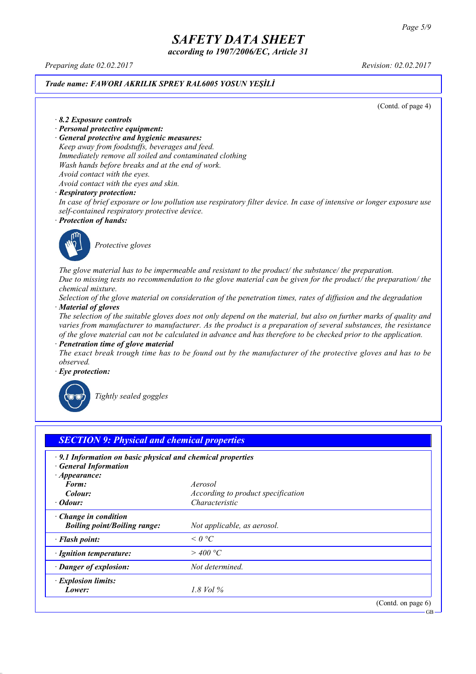*according to 1907/2006/EC, Article 31*

*Preparing date 02.02.2017 Revision: 02.02.2017*

### *Trade name: FAWORI AKRILIK SPREY RAL6005 YOSUN YEŞİLİ*

(Contd. of page 4)

*· 8.2 Exposure controls*

- *· Personal protective equipment:*
- *· General protective and hygienic measures:*

*Keep away from foodstuffs, beverages and feed. Immediately remove all soiled and contaminated clothing Wash hands before breaks and at the end of work. Avoid contact with the eyes.*

*Avoid contact with the eyes and skin.*

#### *· Respiratory protection:*

In case of brief exposure or low pollution use respiratory filter device. In case of intensive or longer exposure use *self-contained respiratory protective device.*

*· Protection of hands:*



*Protective gloves*

*The glove material has to be impermeable and resistant to the product/ the substance/ the preparation.* Due to missing tests no recommendation to the glove material can be given for the product/ the preparation/ the *chemical mixture.*

Selection of the glove material on consideration of the penetration times, rates of diffusion and the degradation *· Material of gloves*

The selection of the suitable gloves does not only depend on the material, but also on further marks of quality and *varies from manufacturer to manufacturer. As the product is a preparation of several substances, the resistance* of the glove material can not be calculated in advance and has therefore to be checked prior to the application.

*· Penetration time of glove material*

The exact break trough time has to be found out by the manufacturer of the protective gloves and has to be *observed.*

*· Eye protection:*



*Tightly sealed goggles*

| $\cdot$ 9.1 Information on basic physical and chemical properties<br><b>General Information</b> |                                    |  |
|-------------------------------------------------------------------------------------------------|------------------------------------|--|
| $\cdot$ Appearance:<br>Form:                                                                    | Aerosol                            |  |
| Colour:                                                                                         | According to product specification |  |
| $\cdot$ Odour:                                                                                  | Characteristic                     |  |
| $\cdot$ Change in condition<br><b>Boiling point/Boiling range:</b>                              | Not applicable, as aerosol.        |  |
| · Flash point:                                                                                  | $\leq 0$ °C                        |  |
| · Ignition temperature:                                                                         | $>$ 400 °C                         |  |
| · Danger of explosion:                                                                          | Not determined.                    |  |
| · Explosion limits:                                                                             |                                    |  |
| Lower:                                                                                          | 1.8 Vol $\%$                       |  |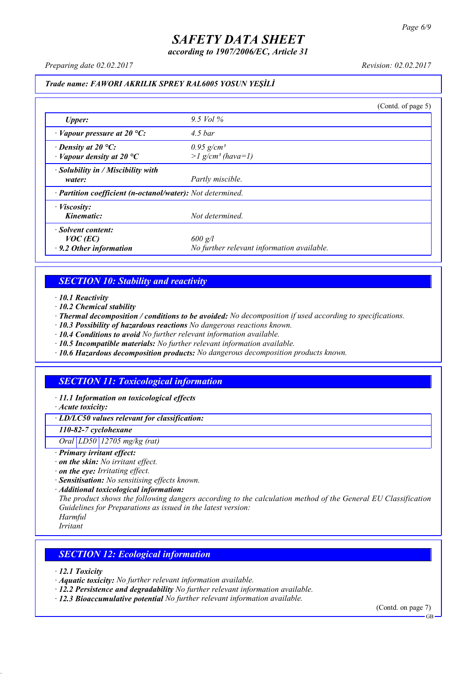*according to 1907/2006/EC, Article 31*

*Preparing date 02.02.2017 Revision: 02.02.2017*

### *Trade name: FAWORI AKRILIK SPREY RAL6005 YOSUN YEŞİLİ*

|                                                                   |                                                             | (Cond. of page 5) |
|-------------------------------------------------------------------|-------------------------------------------------------------|-------------------|
| <b>Upper:</b>                                                     | 9.5 Vol $\%$                                                |                   |
| $\cdot$ Vapour pressure at 20 °C:                                 | $4.5\,bar$                                                  |                   |
| $\cdot$ Density at 20 °C:<br>$\cdot$ Vapour density at 20 °C      | $0.95$ g/cm <sup>3</sup><br>$>l$ g/cm <sup>3</sup> (hava=1) |                   |
| · Solubility in / Miscibility with<br>water:                      | Partly miscible.                                            |                   |
| · Partition coefficient (n-octanol/water): Not determined.        |                                                             |                   |
| $\cdot$ <i>Viscosity:</i><br>Kinematic:                           | Not determined.                                             |                   |
| · Solvent content:<br>$VOC$ (EC)<br>$\cdot$ 9.2 Other information | $600$ g/l<br>No further relevant information available.     |                   |

### *SECTION 10: Stability and reactivity*

*· 10.1 Reactivity*

- *· 10.2 Chemical stability*
- *· Thermal decomposition / conditions to be avoided: No decomposition if used according to specifications.*
- *· 10.3 Possibility of hazardous reactions No dangerous reactions known.*
- *· 10.4 Conditions to avoid No further relevant information available.*
- *· 10.5 Incompatible materials: No further relevant information available.*
- *· 10.6 Hazardous decomposition products: No dangerous decomposition products known.*

### *SECTION 11: Toxicological information*

*· 11.1 Information on toxicological effects*

*· Acute toxicity:*

*· LD/LC50 values relevant for classification:*

*110-82-7 cyclohexane*

*Oral LD50 12705 mg/kg (rat)*

- *· Primary irritant effect:*
- *· on the skin: No irritant effect.*
- *· on the eye: Irritating effect.*
- *· Sensitisation: No sensitising effects known.*
- *· Additional toxicological information:*

*The product shows the following dangers according to the calculation method of the General EU Classification Guidelines for Preparations as issued in the latest version:*

*Harmful*

*Irritant*

### *SECTION 12: Ecological information*

*· 12.1 Toxicity*

- *· Aquatic toxicity: No further relevant information available.*
- *· 12.2 Persistence and degradability No further relevant information available.*
- *· 12.3 Bioaccumulative potential No further relevant information available.*

(Contd. on page 7)

**GB**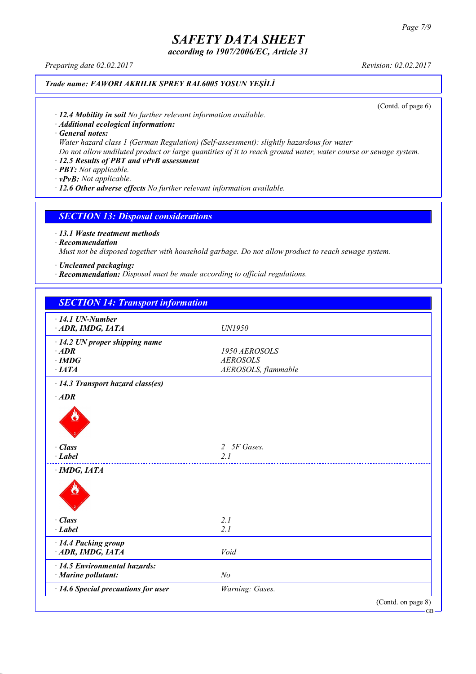*according to 1907/2006/EC, Article 31*

*Preparing date 02.02.2017 Revision: 02.02.2017*

### *Trade name: FAWORI AKRILIK SPREY RAL6005 YOSUN YEŞİLİ*

(Contd. of page 6)

*· 12.4 Mobility in soil No further relevant information available.*

*· Additional ecological information:*

*· General notes:*

*Water hazard class 1 (German Regulation) (Self-assessment): slightly hazardous for water*

Do not allow undiluted product or large quantities of it to reach ground water, water course or sewage system.

### *· 12.5 Results of PBT and vPvB assessment*

*· PBT: Not applicable.*

*· vPvB: Not applicable.*

*· 12.6 Other adverse effects No further relevant information available.*

### *SECTION 13: Disposal considerations*

*· 13.1 Waste treatment methods*

*· Recommendation*

*Must not be disposed together with household garbage. Do not allow product to reach sewage system.*

*· Uncleaned packaging:*

*· Recommendation: Disposal must be made according to official regulations.*

| <b>SECTION 14: Transport information</b>                   |                     |                    |
|------------------------------------------------------------|---------------------|--------------------|
| $\cdot$ 14.1 UN-Number                                     |                     |                    |
| ADR, IMDG, IATA                                            | UN1950              |                    |
| $\cdot$ 14.2 UN proper shipping name                       |                     |                    |
| $·$ <i>ADR</i>                                             | 1950 AEROSOLS       |                    |
| $\cdot$ IMDG                                               | <b>AEROSOLS</b>     |                    |
| $\cdot$ IATA                                               | AEROSOLS, flammable |                    |
| $\cdot$ 14.3 Transport hazard class(es)                    |                     |                    |
| $·$ <i>ADR</i>                                             |                     |                    |
|                                                            |                     |                    |
| · Class                                                    | 5F Gases.<br>2      |                    |
| $\cdot$ Label                                              | 21                  |                    |
| $\cdot$ IMDG, IATA                                         |                     |                    |
|                                                            |                     |                    |
| · Class                                                    | 2.1                 |                    |
| $-Label$                                                   | 2.1                 |                    |
| · 14.4 Packing group                                       |                     |                    |
| ADR, IMDG, IATA                                            | Void                |                    |
| · 14.5 Environmental hazards:<br>$\cdot$ Marine pollutant: | N <sub>o</sub>      |                    |
| · 14.6 Special precautions for user                        | Warning: Gases.     |                    |
|                                                            |                     | (Contd. on page 8) |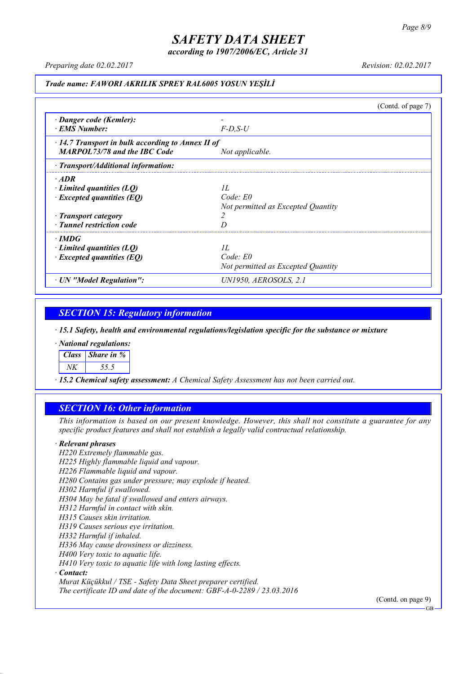*according to 1907/2006/EC, Article 31*

*Preparing date 02.02.2017 Revision: 02.02.2017*

#### *Trade name: FAWORI AKRILIK SPREY RAL6005 YOSUN YEŞİLİ*

(Contd. of page 7) *· Danger code (Kemler): - · EMS Number: F-D,S-U · 14.7 Transport in bulk according to Annex II of MARPOL73/78 and the IBC Code Not applicable. · Transport/Additional information: · ADR · Limited quantities (LQ) 1L · Excepted quantities (EQ) Code: E0 Not permitted as Excepted Quantity · Transport category 2 · Tunnel restriction code D · IMDG · Limited quantities (LQ) 1L · Excepted quantities (EQ) Code: E0 Not permitted as Excepted Quantity · UN "Model Regulation": UN1950, AEROSOLS, 2.1*

### *SECTION 15: Regulatory information*

*· 15.1 Safety, health and environmental regulations/legislation specific for the substance or mixture*

*· National regulations:*

*Class Share in %*

*NK 55.5*

*· 15.2 Chemical safety assessment: A Chemical Safety Assessment has not been carried out.*

### *SECTION 16: Other information*

This information is based on our present knowledge. However, this shall not constitute a guarantee for any *specific product features and shall not establish a legally valid contractual relationship.*

#### *· Relevant phrases*

*H220 Extremely flammable gas. H225 Highly flammable liquid and vapour. H226 Flammable liquid and vapour. H280 Contains gas under pressure; may explode if heated. H302 Harmful if swallowed. H304 May be fatal if swallowed and enters airways. H312 Harmful in contact with skin. H315 Causes skin irritation. H319 Causes serious eye irritation. H332 Harmful if inhaled. H336 May cause drowsiness or dizziness. H400 Very toxic to aquatic life. H410 Very toxic to aquatic life with long lasting effects. · Contact: Murat Küçükkul / TSE - Safety Data Sheet preparer certified.*

*The certificate ID and date of the document: GBF-A-0-2289 / 23.03.2016*

(Contd. on page 9)

GB